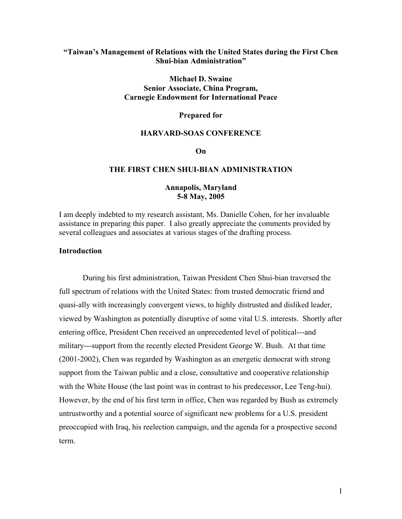## **"Taiwan's Management of Relations with the United States during the First Chen Shui-bian Administration"**

## **Michael D. Swaine Senior Associate, China Program, Carnegie Endowment for International Peace**

#### **Prepared for**

#### **HARVARD-SOAS CONFERENCE**

#### **On**

## **THE FIRST CHEN SHUI-BIAN ADMINISTRATION**

## **Annapolis, Maryland 5-8 May, 2005**

I am deeply indebted to my research assistant, Ms. Danielle Cohen, for her invaluable assistance in preparing this paper. I also greatly appreciate the comments provided by several colleagues and associates at various stages of the drafting process.

#### **Introduction**

During his first administration, Taiwan President Chen Shui-bian traversed the full spectrum of relations with the United States: from trusted democratic friend and quasi-ally with increasingly convergent views, to highly distrusted and disliked leader, viewed by Washington as potentially disruptive of some vital U.S. interests. Shortly after entering office, President Chen received an unprecedented level of political---and military---support from the recently elected President George W. Bush. At that time (2001-2002), Chen was regarded by Washington as an energetic democrat with strong support from the Taiwan public and a close, consultative and cooperative relationship with the White House (the last point was in contrast to his predecessor, Lee Teng-hui). However, by the end of his first term in office, Chen was regarded by Bush as extremely untrustworthy and a potential source of significant new problems for a U.S. president preoccupied with Iraq, his reelection campaign, and the agenda for a prospective second term.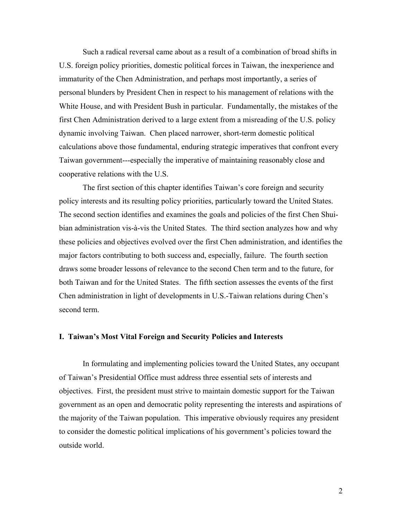Such a radical reversal came about as a result of a combination of broad shifts in U.S. foreign policy priorities, domestic political forces in Taiwan, the inexperience and immaturity of the Chen Administration, and perhaps most importantly, a series of personal blunders by President Chen in respect to his management of relations with the White House, and with President Bush in particular. Fundamentally, the mistakes of the first Chen Administration derived to a large extent from a misreading of the U.S. policy dynamic involving Taiwan. Chen placed narrower, short-term domestic political calculations above those fundamental, enduring strategic imperatives that confront every Taiwan government---especially the imperative of maintaining reasonably close and cooperative relations with the U.S.

The first section of this chapter identifies Taiwan's core foreign and security policy interests and its resulting policy priorities, particularly toward the United States. The second section identifies and examines the goals and policies of the first Chen Shuibian administration vis-à-vis the United States. The third section analyzes how and why these policies and objectives evolved over the first Chen administration, and identifies the major factors contributing to both success and, especially, failure. The fourth section draws some broader lessons of relevance to the second Chen term and to the future, for both Taiwan and for the United States. The fifth section assesses the events of the first Chen administration in light of developments in U.S.-Taiwan relations during Chen's second term.

## **I. Taiwan's Most Vital Foreign and Security Policies and Interests**

In formulating and implementing policies toward the United States, any occupant of Taiwan's Presidential Office must address three essential sets of interests and objectives. First, the president must strive to maintain domestic support for the Taiwan government as an open and democratic polity representing the interests and aspirations of the majority of the Taiwan population. This imperative obviously requires any president to consider the domestic political implications of his government's policies toward the outside world.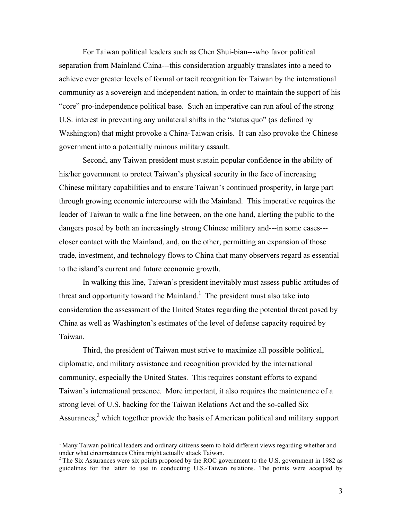For Taiwan political leaders such as Chen Shui-bian---who favor political separation from Mainland China---this consideration arguably translates into a need to achieve ever greater levels of formal or tacit recognition for Taiwan by the international community as a sovereign and independent nation, in order to maintain the support of his "core" pro-independence political base. Such an imperative can run afoul of the strong U.S. interest in preventing any unilateral shifts in the "status quo" (as defined by Washington) that might provoke a China-Taiwan crisis. It can also provoke the Chinese government into a potentially ruinous military assault.

Second, any Taiwan president must sustain popular confidence in the ability of his/her government to protect Taiwan's physical security in the face of increasing Chinese military capabilities and to ensure Taiwan's continued prosperity, in large part through growing economic intercourse with the Mainland. This imperative requires the leader of Taiwan to walk a fine line between, on the one hand, alerting the public to the dangers posed by both an increasingly strong Chinese military and---in some cases-- closer contact with the Mainland, and, on the other, permitting an expansion of those trade, investment, and technology flows to China that many observers regard as essential to the island's current and future economic growth.

In walking this line, Taiwan's president inevitably must assess public attitudes of threat and opportunity toward the Mainland.<sup>1</sup> The president must also take into consideration the assessment of the United States regarding the potential threat posed by China as well as Washington's estimates of the level of defense capacity required by Taiwan.

Third, the president of Taiwan must strive to maximize all possible political, diplomatic, and military assistance and recognition provided by the international community, especially the United States. This requires constant efforts to expand Taiwan's international presence. More important, it also requires the maintenance of a strong level of U.S. backing for the Taiwan Relations Act and the so-called Six Assurances, $<sup>2</sup>$  which together provide the basis of American political and military support</sup>

<u>.</u>

<sup>&</sup>lt;sup>1</sup> Many Taiwan political leaders and ordinary citizens seem to hold different views regarding whether and under what circumstances China might actually attack Taiwan.

 $2$  The Six Assurances were six points proposed by the ROC government to the U.S. government in 1982 as guidelines for the latter to use in conducting U.S.-Taiwan relations. The points were accepted by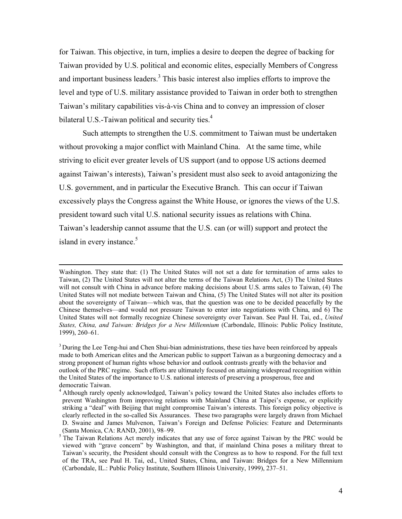for Taiwan. This objective, in turn, implies a desire to deepen the degree of backing for Taiwan provided by U.S. political and economic elites, especially Members of Congress and important business leaders.<sup>3</sup> This basic interest also implies efforts to improve the level and type of U.S. military assistance provided to Taiwan in order both to strengthen Taiwan's military capabilities vis-à-vis China and to convey an impression of closer bilateral U.S.-Taiwan political and security ties.<sup>4</sup>

Such attempts to strengthen the U.S. commitment to Taiwan must be undertaken without provoking a major conflict with Mainland China. At the same time, while striving to elicit ever greater levels of US support (and to oppose US actions deemed against Taiwan's interests), Taiwan's president must also seek to avoid antagonizing the U.S. government, and in particular the Executive Branch. This can occur if Taiwan excessively plays the Congress against the White House, or ignores the views of the U.S. president toward such vital U.S. national security issues as relations with China. Taiwan's leadership cannot assume that the U.S. can (or will) support and protect the island in every instance.<sup>5</sup>

Washington. They state that: (1) The United States will not set a date for termination of arms sales to Taiwan, (2) The United States will not alter the terms of the Taiwan Relations Act, (3) The United States will not consult with China in advance before making decisions about U.S. arms sales to Taiwan, (4) The United States will not mediate between Taiwan and China, (5) The United States will not alter its position about the sovereignty of Taiwan—which was, that the question was one to be decided peacefully by the Chinese themselves—and would not pressure Taiwan to enter into negotiations with China, and 6) The United States will not formally recognize Chinese sovereignty over Taiwan. See Paul H. Tai, ed., *United States, China, and Taiwan: Bridges for a New Millennium* (Carbondale, Illinois: Public Policy Institute, 1999), 260–61.

<sup>&</sup>lt;sup>3</sup> During the Lee Teng-hui and Chen Shui-bian administrations, these ties have been reinforced by appeals made to both American elites and the American public to support Taiwan as a burgeoning democracy and a strong proponent of human rights whose behavior and outlook contrasts greatly with the behavior and outlook of the PRC regime. Such efforts are ultimately focused on attaining widespread recognition within the United States of the importance to U.S. national interests of preserving a prosperous, free and democratic Taiwan.

<sup>4</sup> Although rarely openly acknowledged, Taiwan's policy toward the United States also includes efforts to prevent Washington from improving relations with Mainland China at Taipei's expense, or explicitly striking a "deal" with Beijing that might compromise Taiwan's interests. This foreign policy objective is clearly reflected in the so-called Six Assurances. These two paragraphs were largely drawn from Michael D. Swaine and James Mulvenon, Taiwan's Foreign and Defense Policies: Feature and Determinants (Santa Monica, CA: RAND, 2001), 98–99.

<sup>&</sup>lt;sup>5</sup> The Taiwan Relations Act merely indicates that any use of force against Taiwan by the PRC would be viewed with "grave concern" by Washington, and that, if mainland China poses a military threat to Taiwan's security, the President should consult with the Congress as to how to respond. For the full text of the TRA, see Paul H. Tai, ed., United States, China, and Taiwan: Bridges for a New Millennium (Carbondale, IL.: Public Policy Institute, Southern Illinois University, 1999), 237–51.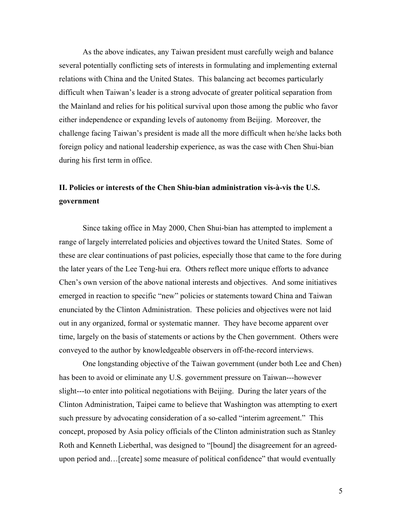As the above indicates, any Taiwan president must carefully weigh and balance several potentially conflicting sets of interests in formulating and implementing external relations with China and the United States. This balancing act becomes particularly difficult when Taiwan's leader is a strong advocate of greater political separation from the Mainland and relies for his political survival upon those among the public who favor either independence or expanding levels of autonomy from Beijing. Moreover, the challenge facing Taiwan's president is made all the more difficult when he/she lacks both foreign policy and national leadership experience, as was the case with Chen Shui-bian during his first term in office.

# **II. Policies or interests of the Chen Shiu-bian administration vis-à-vis the U.S. government**

Since taking office in May 2000, Chen Shui-bian has attempted to implement a range of largely interrelated policies and objectives toward the United States. Some of these are clear continuations of past policies, especially those that came to the fore during the later years of the Lee Teng-hui era. Others reflect more unique efforts to advance Chen's own version of the above national interests and objectives. And some initiatives emerged in reaction to specific "new" policies or statements toward China and Taiwan enunciated by the Clinton Administration. These policies and objectives were not laid out in any organized, formal or systematic manner. They have become apparent over time, largely on the basis of statements or actions by the Chen government. Others were conveyed to the author by knowledgeable observers in off-the-record interviews.

One longstanding objective of the Taiwan government (under both Lee and Chen) has been to avoid or eliminate any U.S. government pressure on Taiwan---however slight---to enter into political negotiations with Beijing. During the later years of the Clinton Administration, Taipei came to believe that Washington was attempting to exert such pressure by advocating consideration of a so-called "interim agreement." This concept, proposed by Asia policy officials of the Clinton administration such as Stanley Roth and Kenneth Lieberthal, was designed to "[bound] the disagreement for an agreedupon period and…[create] some measure of political confidence" that would eventually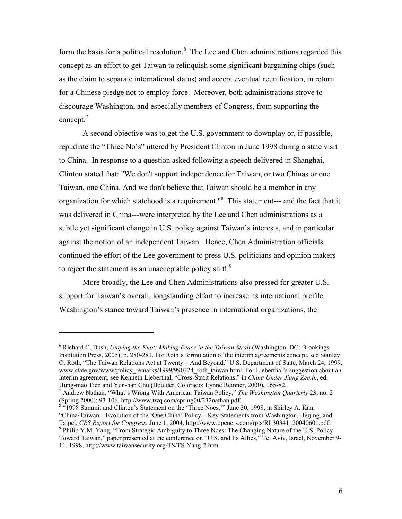form the basis for a political resolution.<sup>6</sup> The Lee and Chen administrations regarded this concept as an effort to get Taiwan to relinquish some significant bargaining chips (such as the claim to separate international status) and accept eventual reunification, in return for a Chinese pledge not to employ force. Moreover, both administrations strove to discourage Washington, and especially members of Congress, from supporting the concept.7

A second objective was to get the U.S. government to downplay or, if possible, repudiate the "Three No's" uttered by President Clinton in June 1998 during a state visit to China. In response to a question asked following a speech delivered in Shanghai, Clinton stated that: "We don't support independence for Taiwan, or two Chinas or one Taiwan, one China. And we don't believe that Taiwan should be a member in any organization for which statehood is a requirement."<sup>8</sup> This statement--- and the fact that it was delivered in China---were interpreted by the Lee and Chen administrations as a subtle yet significant change in U.S. policy against Taiwan's interests, and in particular against the notion of an independent Taiwan. Hence, Chen Administration officials continued the effort of the Lee government to press U.S. politicians and opinion makers to reject the statement as an unacceptable policy shift.<sup>9</sup>

More broadly, the Lee and Chen Administrations also pressed for greater U.S. support for Taiwan's overall, longstanding effort to increase its international profile. Washington's stance toward Taiwan's presence in international organizations, the

<sup>6</sup> Richard C. Bush, *Untying the Knot: Making Peace in the Taiwan Strait* (Washington, DC: Brookings Institution Press, 2005), p. 280-281. For Roth's formulation of the interim agreements concept, see Stanley O. Roth, "The Taiwan Relations Act at Twenty – And Beyond," U.S. Department of State, March 24, 1999, www.state.gov/www/policy\_remarks/1999/990324\_roth\_taiwan.html. For Lieberthal's suggestion about an interim agreement, see Kenneth Lieberthal, "Cross-Strait Relations," in *China Under Jiang Zemin*, ed. Hung-mao Tien and Yun-han Chu (Boulder, Colorado: Lynne Reinner, 2000), 165-82.

<sup>7</sup> Andrew Nathan, "What's Wrong With American Taiwan Policy," *The Washington Quarterly* 23, no. 2 (Spring 2000): 93-106, http://www.twq.com/spring00/232nathan.pdf.<br><sup>8</sup> "1008 Summit and Clinton's Statement on the 'Three Negs.'" June 3

 <sup>&</sup>quot;1998 Summit and Clinton's Statement on the 'Three Noes,'" June 30, 1998, in Shirley A. Kan, "China/Taiwan – Evolution of the 'One China' Policy – Key Statements from Washington, Beijing, and Taipei, *CRS Report for Congress*, June 1, 2004, http://www.opencrs.com/rpts/RL30341\_20040601.pdf. 9 <sup>9</sup> Philip Y.M. Yang, "From Strategic Ambiguity to Three Noes: The Changing Nature of the U.S. Policy Toward Taiwan," paper presented at the conference on "U.S. and Its Allies," Tel Aviv, Israel, November 9- 11, 1998, http://www.taiwansecurity.org/TS/TS-Yang-2.htm.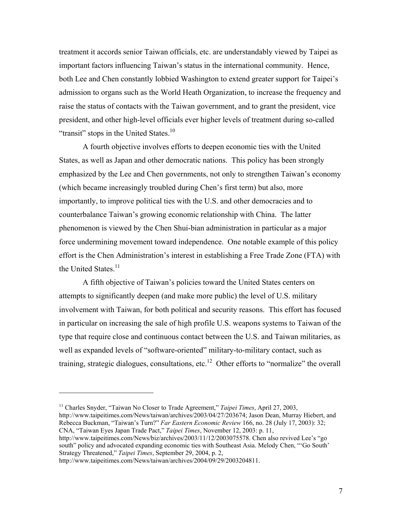treatment it accords senior Taiwan officials, etc. are understandably viewed by Taipei as important factors influencing Taiwan's status in the international community. Hence, both Lee and Chen constantly lobbied Washington to extend greater support for Taipei's admission to organs such as the World Heath Organization, to increase the frequency and raise the status of contacts with the Taiwan government, and to grant the president, vice president, and other high-level officials ever higher levels of treatment during so-called "transit" stops in the United States. $10$ 

A fourth objective involves efforts to deepen economic ties with the United States, as well as Japan and other democratic nations. This policy has been strongly emphasized by the Lee and Chen governments, not only to strengthen Taiwan's economy (which became increasingly troubled during Chen's first term) but also, more importantly, to improve political ties with the U.S. and other democracies and to counterbalance Taiwan's growing economic relationship with China. The latter phenomenon is viewed by the Chen Shui-bian administration in particular as a major force undermining movement toward independence. One notable example of this policy effort is the Chen Administration's interest in establishing a Free Trade Zone (FTA) with the United States.<sup>11</sup>

A fifth objective of Taiwan's policies toward the United States centers on attempts to significantly deepen (and make more public) the level of U.S. military involvement with Taiwan, for both political and security reasons. This effort has focused in particular on increasing the sale of high profile U.S. weapons systems to Taiwan of the type that require close and continuous contact between the U.S. and Taiwan militaries, as well as expanded levels of "software-oriented" military-to-military contact, such as training, strategic dialogues, consultations, etc.<sup>12</sup> Other efforts to "normalize" the overall

http://www.taipeitimes.com/News/taiwan/archives/2004/09/29/2003204811.

<sup>11</sup> Charles Snyder, "Taiwan No Closer to Trade Agreement," *Taipei Times*, April 27, 2003, http://www.taipeitimes.com/News/taiwan/archives/2003/04/27/203674; Jason Dean, Murray Hiebert, and Rebecca Buckman, "Taiwan's Turn?" *Far Eastern Economic Review* 166, no. 28 (July 17, 2003): 32; CNA, "Taiwan Eyes Japan Trade Pact," *Taipei Times*, November 12, 2003: p. 11, http://www.taipeitimes.com/News/biz/archives/2003/11/12/2003075578. Chen also revived Lee's "go south" policy and advocated expanding economic ties with Southeast Asia. Melody Chen, "'Go South' Strategy Threatened," *Taipei Times*, September 29, 2004, p. 2,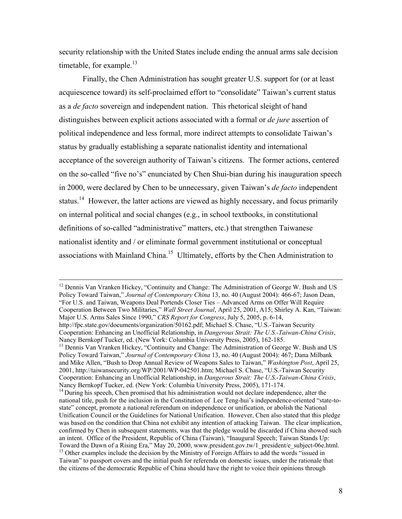security relationship with the United States include ending the annual arms sale decision timetable, for example. $^{13}$ 

Finally, the Chen Administration has sought greater U.S. support for (or at least acquiescence toward) its self-proclaimed effort to "consolidate" Taiwan's current status as a *de facto* sovereign and independent nation. This rhetorical sleight of hand distinguishes between explicit actions associated with a formal or *de jure* assertion of political independence and less formal, more indirect attempts to consolidate Taiwan's status by gradually establishing a separate nationalist identity and international acceptance of the sovereign authority of Taiwan's citizens. The former actions, centered on the so-called "five no's" enunciated by Chen Shui-bian during his inauguration speech in 2000, were declared by Chen to be unnecessary, given Taiwan's *de facto* independent status.<sup>14</sup> However, the latter actions are viewed as highly necessary, and focus primarily on internal political and social changes (e.g., in school textbooks, in constitutional definitions of so-called "administrative" matters, etc.) that strengthen Taiwanese nationalist identity and / or eliminate formal government institutional or conceptual associations with Mainland China.<sup>15</sup> Ultimately, efforts by the Chen Administration to

<sup>12</sup> Dennis Van Vranken Hickey, "Continuity and Change: The Administration of George W. Bush and US Policy Toward Taiwan," *Journal of Contemporary China* 13, no. 40 (August 2004): 466-67; Jason Dean, "For U.S. and Taiwan, Weapons Deal Portends Closer Ties – Advanced Arms on Offer Will Require Cooperation Between Two Militaries," *Wall Street Journal*, April 25, 2001, A15; Shirley A. Kan, "Taiwan: Major U.S. Arms Sales Since 1990," *CRS Report for Congress*, July 5, 2005, p. 6-14, http://fpc.state.gov/documents/organization/50162.pdf; Michael S. Chase, "U.S.-Taiwan Security

Cooperation: Enhancing an Unofficial Relationship, in *Dangerous Strait: The U.S.-Taiwan-China Crisis*, <sup>13</sup> Dennis Van Vranken Hickey, "Continuity and Change: The Administration of George W. Bush and US Policy Toward Taiwan," *Journal of Contemporary China* 13, no. 40 (August 2004): 467; Dana Milbank

and Mike Allen, "Bush to Drop Annual Review of Weapons Sales to Taiwan," *Washington Post*, April 25, 2001, http://taiwansecurity.org/WP/2001/WP-042501.htm; Michael S. Chase, "U.S.-Taiwan Security Cooperation: Enhancing an Unofficial Relationship, in *Dangerous Strait: The U.S.-Taiwan-China Crisis*, Nancy Bernkopf Tucker, ed. (New York: Columbia University Press, 2005), 171-174.<br><sup>14</sup> During his speech, Chen promised that his administration would not declare independence, alter the

national title, push for the inclusion in the Constitution of Lee Teng-hui's independence-oriented "state-tostate" concept, promote a national referendum on independence or unification, or abolish the National Unification Council or the Guidelines for National Unification. However, Chen also stated that this pledge was based on the condition that China not exhibit any intention of attacking Taiwan. The clear implication, confirmed by Chen in subsequent statements, was that the pledge would be discarded if China showed such an intent. Office of the President, Republic of China (Taiwan), "Inaugural Speech; Taiwan Stands Up:<br>Toward the Dawn of a Rising Era," May 20, 2000, www.president.gov.tw/1 president/e subject-06e.html. <sup>15</sup> Other examples include the decision by the Ministry of Foreign Affairs to add the words "issued in Taiwan" to passport covers and the initial push for referenda on domestic issues, under the rationale that the citizens of the democratic Republic of China should have the right to voice their opinions through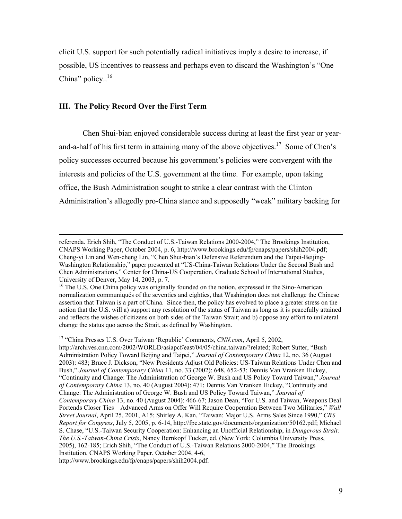elicit U.S. support for such potentially radical initiatives imply a desire to increase, if possible, US incentives to reassess and perhaps even to discard the Washington's "One China" policy.. $16$ 

#### **III. The Policy Record Over the First Term**

Chen Shui-bian enjoyed considerable success during at least the first year or yearand-a-half of his first term in attaining many of the above objectives.17Some of Chen's policy successes occurred because his government's policies were convergent with the interests and policies of the U.S. government at the time. For example, upon taking office, the Bush Administration sought to strike a clear contrast with the Clinton Administration's allegedly pro-China stance and supposedly "weak" military backing for

17 "China Presses U.S. Over Taiwan 'Republic' Comments, *CNN.com*, April 5, 2002,

http://archives.cnn.com/2002/WORLD/asiapcf/east/04/05/china.taiwan/?related; Robert Sutter, "Bush Administration Policy Toward Beijing and Taipei," *Journal of Contemporary China* 12, no. 36 (August 2003): 483; Bruce J. Dickson, "New Presidents Adjust Old Policies: US-Taiwan Relations Under Chen and Bush," *Journal of Contemporary China* 11, no. 33 (2002): 648, 652-53; Dennis Van Vranken Hickey, "Continuity and Change: The Administration of George W. Bush and US Policy Toward Taiwan," *Journal of Contemporary China* 13, no. 40 (August 2004): 471; Dennis Van Vranken Hickey, "Continuity and Change: The Administration of George W. Bush and US Policy Toward Taiwan," *Journal of Contemporary China* 13, no. 40 (August 2004): 466-67; Jason Dean, "For U.S. and Taiwan, Weapons Deal Portends Closer Ties – Advanced Arms on Offer Will Require Cooperation Between Two Militaries," *Wall Street Journal*, April 25, 2001, A15; Shirley A. Kan, "Taiwan: Major U.S. Arms Sales Since 1990," *CRS Report for Congress*, July 5, 2005, p. 6-14, http://fpc.state.gov/documents/organization/50162.pdf; Michael S. Chase, "U.S.-Taiwan Security Cooperation: Enhancing an Unofficial Relationship, in *Dangerous Strait: The U.S.-Taiwan-China Crisis*, Nancy Bernkopf Tucker, ed. (New York: Columbia University Press, 2005), 162-185; Erich Shih, "The Conduct of U.S.-Taiwan Relations 2000-2004," The Brookings Institution, CNAPS Working Paper, October 2004, 4-6, http://www.brookings.edu/fp/cnaps/papers/shih2004.pdf.

referenda. Erich Shih, "The Conduct of U.S.-Taiwan Relations 2000-2004," The Brookings Institution, CNAPS Working Paper, October 2004, p. 6, http://www.brookings.edu/fp/cnaps/papers/shih2004.pdf; Cheng-yi Lin and Wen-cheng Lin, "Chen Shui-bian's Defensive Referendum and the Taipei-Beijing-Washington Relationship," paper presented at "US-China-Taiwan Relations Under the Second Bush and Chen Administrations," Center for China-US Cooperation, Graduate School of International Studies, University of Denver, May 14, 2003, p. 7.

<sup>&</sup>lt;sup>16</sup> The U.S. One China policy was originally founded on the notion, expressed in the Sino-American normalization communiqués of the seventies and eighties, that Washington does not challenge the Chinese assertion that Taiwan is a part of China. Since then, the policy has evolved to place a greater stress on the notion that the U.S. will a) support any resolution of the status of Taiwan as long as it is peacefully attained and reflects the wishes of citizens on both sides of the Taiwan Strait; and b) oppose any effort to unilateral change the status quo across the Strait, as defined by Washington.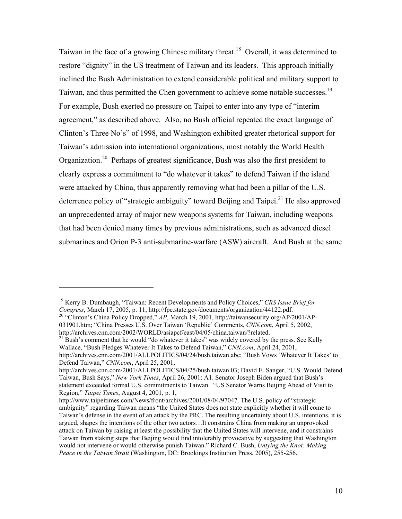Taiwan in the face of a growing Chinese military threat.<sup>18</sup> Overall, it was determined to restore "dignity" in the US treatment of Taiwan and its leaders. This approach initially inclined the Bush Administration to extend considerable political and military support to Taiwan, and thus permitted the Chen government to achieve some notable successes.19 For example, Bush exerted no pressure on Taipei to enter into any type of "interim agreement," as described above. Also, no Bush official repeated the exact language of Clinton's Three No's" of 1998, and Washington exhibited greater rhetorical support for Taiwan's admission into international organizations, most notably the World Health Organization.20 Perhaps of greatest significance, Bush was also the first president to clearly express a commitment to "do whatever it takes" to defend Taiwan if the island were attacked by China, thus apparently removing what had been a pillar of the U.S. deterrence policy of "strategic ambiguity" toward Beijing and Taipei.<sup>21</sup> He also approved an unprecedented array of major new weapons systems for Taiwan, including weapons that had been denied many times by previous administrations, such as advanced diesel submarines and Orion P-3 anti-submarine-warfare (ASW) aircraft. And Bush at the same

<sup>19</sup> Kerry B. Dumbaugh, "Taiwan: Recent Developments and Policy Choices," *CRS Issue Brief for Congress*, March 17, 2005, p. 11, http://fpc.state.gov/documents/organization/44122.pdf. <sup>20</sup> "Clinton's China Policy Dropped," *AP*, March 19, 2001, http://taiwansecurity.org/AP/2001/AP-

<sup>031901.</sup>htm; "China Presses U.S. Over Taiwan 'Republic' Comments, *CNN.com*, April 5, 2002, http://archives.cnn.com/2002/WORLD/asiapcf/east/04/05/china.taiwan/?related.

<sup>&</sup>lt;sup>21</sup> Bush's comment that he would "do whatever it takes" was widely covered by the press. See Kelly Wallace, "Bush Pledges Whatever It Takes to Defend Taiwan," *CNN.com*, April 24, 2001, http://archives.cnn.com/2001/ALLPOLITICS/04/24/bush.taiwan.abc; "Bush Vows 'Whatever It Takes' to Defend Taiwan," *CNN.com*, April 25, 2001,

http://archives.cnn.com/2001/ALLPOLITICS/04/25/bush.taiwan.03; David E. Sanger, "U.S. Would Defend Taiwan, Bush Says," *New York Times*, April 26, 2001: A1. Senator Joseph Biden argued that Bush's statement exceeded formal U.S. commitments to Taiwan. "US Senator Warns Beijing Ahead of Visit to Region," *Taipei Times*, August 4, 2001, p. 1,

http://www.taipeitimes.com/News/front/archives/2001/08/04/97047. The U.S. policy of "strategic ambiguity" regarding Taiwan means "the United States does not state explicitly whether it will come to Taiwan's defense in the event of an attack by the PRC. The resulting uncertainty about U.S. intentions, it is argued, shapes the intentions of the other two actors…It constrains China from making an unprovoked attack on Taiwan by raising at least the possibility that the United States will intervene, and it constrains Taiwan from staking steps that Beijing would find intolerably provocative by suggesting that Washington would not intervene or would otherwise punish Taiwan." Richard C. Bush, *Untying the Knot: Making Peace in the Taiwan Strait* (Washington, DC: Brookings Institution Press, 2005), 255-256.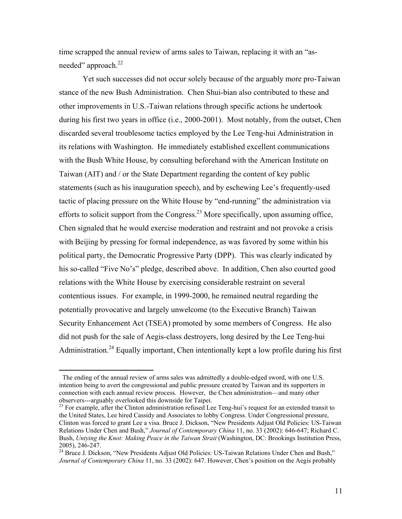time scrapped the annual review of arms sales to Taiwan, replacing it with an "asneeded" approach.<sup>22</sup>

Yet such successes did not occur solely because of the arguably more pro-Taiwan stance of the new Bush Administration. Chen Shui-bian also contributed to these and other improvements in U.S.-Taiwan relations through specific actions he undertook during his first two years in office (i.e., 2000-2001). Most notably, from the outset, Chen discarded several troublesome tactics employed by the Lee Teng-hui Administration in its relations with Washington. He immediately established excellent communications with the Bush White House, by consulting beforehand with the American Institute on Taiwan (AIT) and / or the State Department regarding the content of key public statements (such as his inauguration speech), and by eschewing Lee's frequently-used tactic of placing pressure on the White House by "end-running" the administration via efforts to solicit support from the Congress.<sup>23</sup> More specifically, upon assuming office, Chen signaled that he would exercise moderation and restraint and not provoke a crisis with Beijing by pressing for formal independence, as was favored by some within his political party, the Democratic Progressive Party (DPP). This was clearly indicated by his so-called "Five No's" pledge, described above. In addition, Chen also courted good relations with the White House by exercising considerable restraint on several contentious issues. For example, in 1999-2000, he remained neutral regarding the potentially provocative and largely unwelcome (to the Executive Branch) Taiwan Security Enhancement Act (TSEA) promoted by some members of Congress. He also did not push for the sale of Aegis-class destroyers, long desired by the Lee Teng-hui Administration.<sup>24</sup> Equally important, Chen intentionally kept a low profile during his first

The ending of the annual review of arms sales was admittedly a double-edged sword, with one U.S. intention being to avert the congressional and public pressure created by Taiwan and its supporters in connection with each annual review process. However, the Chen administration—and many other observers---arguably overlooked this downside for Taipei.

<sup>&</sup>lt;sup>23</sup> For example, after the Clinton administration refused Lee Teng-hui's request for an extended transit to the United States, Lee hired Cassidy and Associates to lobby Congress. Under Congressional pressure, Clinton was forced to grant Lee a visa. Bruce J. Dickson, "New Presidents Adjust Old Policies: US-Taiwan Relations Under Chen and Bush," *Journal of Contemporary China* 11, no. 33 (2002): 646-647; Richard C. Bush, *Untying the Knot: Making Peace in the Taiwan Strait* (Washington, DC: Brookings Institution Press, 2005), 246-247.

<sup>&</sup>lt;sup>24</sup> Bruce J. Dickson, "New Presidents Adjust Old Policies: US-Taiwan Relations Under Chen and Bush," *Journal of Contemporary China* 11, no. 33 (2002): 647. However, Chen's position on the Aegis probably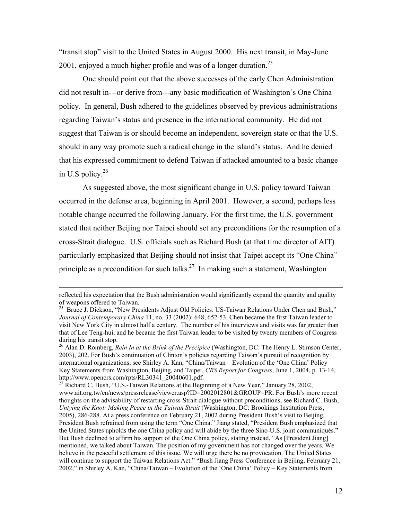"transit stop" visit to the United States in August 2000. His next transit, in May-June 2001, enjoyed a much higher profile and was of a longer duration.<sup>25</sup>

One should point out that the above successes of the early Chen Administration did not result in---or derive from---any basic modification of Washington's One China policy. In general, Bush adhered to the guidelines observed by previous administrations regarding Taiwan's status and presence in the international community. He did not suggest that Taiwan is or should become an independent, sovereign state or that the U.S. should in any way promote such a radical change in the island's status. And he denied that his expressed commitment to defend Taiwan if attacked amounted to a basic change in U.S policy. $26$ 

As suggested above, the most significant change in U.S. policy toward Taiwan occurred in the defense area, beginning in April 2001. However, a second, perhaps less notable change occurred the following January. For the first time, the U.S. government stated that neither Beijing nor Taipei should set any preconditions for the resumption of a cross-Strait dialogue. U.S. officials such as Richard Bush (at that time director of AIT) particularly emphasized that Beijing should not insist that Taipei accept its "One China" principle as a precondition for such talks.<sup>27</sup> In making such a statement, Washington

reflected his expectation that the Bush administration would significantly expand the quantity and quality of weapons offered to Taiwan.

<sup>&</sup>lt;sup>25</sup> Bruce J. Dickson, "New Presidents Adjust Old Policies: US-Taiwan Relations Under Chen and Bush," *Journal of Contemporary China* 11, no. 33 (2002): 648, 652-53. Chen became the first Taiwan leader to visit New York City in almost half a century. The number of his interviews and visits was far greater than that of Lee Teng-hui, and he became the first Taiwan leader to be visited by twenty members of Congress during his transit stop.

<sup>26</sup> Alan D. Romberg, *Rein In at the Brink of the Precipice* (Washington, DC: The Henry L. Stimson Center, 2003), 202. For Bush's continuation of Clinton's policies regarding Taiwan's pursuit of recognition by international organizations, see Shirley A. Kan, "China/Taiwan – Evolution of the 'One China' Policy – Key Statements from Washington, Beijing, and Taipei, *CRS Report for Congress*, June 1, 2004, p. 13-14,

<sup>&</sup>lt;sup>27</sup> Richard C. Bush, "U.S.-Taiwan Relations at the Beginning of a New Year," January 28, 2002, www.ait.org.tw/en/news/pressrelease/viewer.asp?ID=2002012801&GROUP=PR. For Bush's more recent thoughts on the advisability of restarting cross-Strait dialogue without preconditions, see Richard C. Bush, *Untying the Knot: Making Peace in the Taiwan Strait* (Washington, DC: Brookings Institution Press, 2005), 286-288. At a press conference on February 21, 2002 during President Bush's visit to Beijing, President Bush refrained from using the term "One China." Jiang stated, "President Bush emphasized that the United States upholds the one China policy and will abide by the three Sino-U.S. joint communiqués." But Bush declined to affirm his support of the One China policy, stating instead, "As [President Jiang] mentioned, we talked about Taiwan. The position of my government has not changed over the years. We believe in the peaceful settlement of this issue. We will urge there be no provocation. The United States will continue to support the Taiwan Relations Act." "Bush Jiang Press Conference in Beijing, February 21, 2002," in Shirley A. Kan, "China/Taiwan – Evolution of the 'One China' Policy – Key Statements from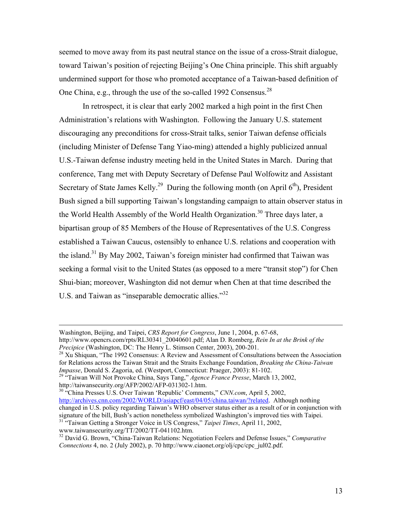seemed to move away from its past neutral stance on the issue of a cross-Strait dialogue, toward Taiwan's position of rejecting Beijing's One China principle. This shift arguably undermined support for those who promoted acceptance of a Taiwan-based definition of One China, e.g., through the use of the so-called 1992 Consensus.<sup>28</sup>

In retrospect, it is clear that early 2002 marked a high point in the first Chen Administration's relations with Washington. Following the January U.S. statement discouraging any preconditions for cross-Strait talks, senior Taiwan defense officials (including Minister of Defense Tang Yiao-ming) attended a highly publicized annual U.S.-Taiwan defense industry meeting held in the United States in March. During that conference, Tang met with Deputy Secretary of Defense Paul Wolfowitz and Assistant Secretary of State James Kelly.<sup>29</sup> During the following month (on April  $6<sup>th</sup>$ ), President Bush signed a bill supporting Taiwan's longstanding campaign to attain observer status in the World Health Assembly of the World Health Organization.<sup>30</sup> Three days later, a bipartisan group of 85 Members of the House of Representatives of the U.S. Congress established a Taiwan Caucus, ostensibly to enhance U.S. relations and cooperation with the island.31 By May 2002, Taiwan's foreign minister had confirmed that Taiwan was seeking a formal visit to the United States (as opposed to a mere "transit stop") for Chen Shui-bian; moreover, Washington did not demur when Chen at that time described the U.S. and Taiwan as "inseparable democratic allies."32

30 "China Presses U.S. Over Taiwan 'Republic' Comments," *CNN.com*, April 5, 2002, http://archives.cnn.com/2002/WORLD/asiapcf/east/04/05/china.taiwan/?related. Although nothing changed in U.S. policy regarding Taiwan's WHO observer status either as a result of or in conjunction with signature of the bill, Bush's action nonetheless symbolized Washington's improved ties with Taipei. <sup>31</sup> "Taiwan Getting a Stronger Voice in US Congress," *Taipei Times*, April 11, 2002,

www.taiwansecurity.org/TT/2002/TT-041102.htm.

Washington, Beijing, and Taipei, *CRS Report for Congress*, June 1, 2004, p. 67-68,

http://www.opencrs.com/rpts/RL30341\_20040601.pdf; Alan D. Romberg, *Rein In at the Brink of the Precipice* (Washington, DC: The Henry L. Stimson Center, 2003), 200-201.<br><sup>28</sup> Xu Shiquan, "The 1992 Consensus: A Review and Assessment of Consultations between the Association

for Relations across the Taiwan Strait and the Straits Exchange Foundation, *Breaking the China-Taiwan Impasse*, Donald S. Zagoria, ed. (Westport, Connecticut: Praeger, 2003): 81-102. 29 "Taiwan Will Not Provoke China, Says Tang," *Agence France Presse*, March 13, 2002,

http://taiwansecurity.org/AFP/2002/AFP-031302-1.htm.

<sup>32</sup> David G. Brown, "China-Taiwan Relations: Negotiation Feelers and Defense Issues," *Comparative Connections* 4, no. 2 (July 2002), p. 70 http://www.ciaonet.org/olj/cpc/cpc\_jul02.pdf.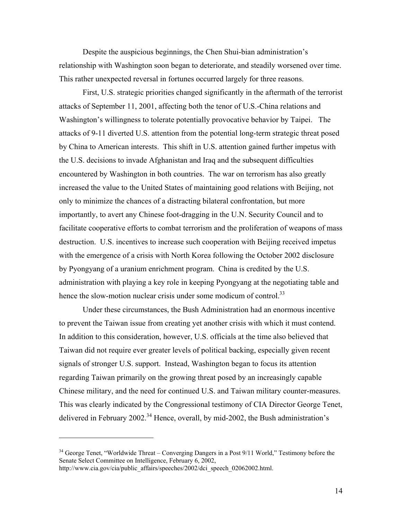Despite the auspicious beginnings, the Chen Shui-bian administration's relationship with Washington soon began to deteriorate, and steadily worsened over time. This rather unexpected reversal in fortunes occurred largely for three reasons.

First, U.S. strategic priorities changed significantly in the aftermath of the terrorist attacks of September 11, 2001, affecting both the tenor of U.S.-China relations and Washington's willingness to tolerate potentially provocative behavior by Taipei. The attacks of 9-11 diverted U.S. attention from the potential long-term strategic threat posed by China to American interests. This shift in U.S. attention gained further impetus with the U.S. decisions to invade Afghanistan and Iraq and the subsequent difficulties encountered by Washington in both countries. The war on terrorism has also greatly increased the value to the United States of maintaining good relations with Beijing, not only to minimize the chances of a distracting bilateral confrontation, but more importantly, to avert any Chinese foot-dragging in the U.N. Security Council and to facilitate cooperative efforts to combat terrorism and the proliferation of weapons of mass destruction. U.S. incentives to increase such cooperation with Beijing received impetus with the emergence of a crisis with North Korea following the October 2002 disclosure by Pyongyang of a uranium enrichment program. China is credited by the U.S. administration with playing a key role in keeping Pyongyang at the negotiating table and hence the slow-motion nuclear crisis under some modicum of control.<sup>33</sup>

Under these circumstances, the Bush Administration had an enormous incentive to prevent the Taiwan issue from creating yet another crisis with which it must contend. In addition to this consideration, however, U.S. officials at the time also believed that Taiwan did not require ever greater levels of political backing, especially given recent signals of stronger U.S. support. Instead, Washington began to focus its attention regarding Taiwan primarily on the growing threat posed by an increasingly capable Chinese military, and the need for continued U.S. and Taiwan military counter-measures. This was clearly indicated by the Congressional testimony of CIA Director George Tenet, delivered in February 2002.<sup>34</sup> Hence, overall, by mid-2002, the Bush administration's

<sup>&</sup>lt;sup>34</sup> George Tenet, "Worldwide Threat – Converging Dangers in a Post 9/11 World," Testimony before the Senate Select Committee on Intelligence, February 6, 2002,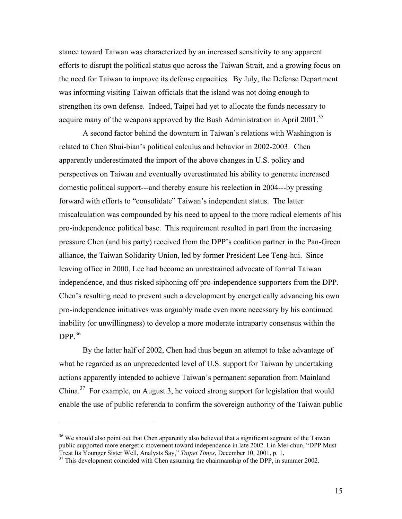stance toward Taiwan was characterized by an increased sensitivity to any apparent efforts to disrupt the political status quo across the Taiwan Strait, and a growing focus on the need for Taiwan to improve its defense capacities. By July, the Defense Department was informing visiting Taiwan officials that the island was not doing enough to strengthen its own defense. Indeed, Taipei had yet to allocate the funds necessary to acquire many of the weapons approved by the Bush Administration in April 2001.<sup>35</sup>

A second factor behind the downturn in Taiwan's relations with Washington is related to Chen Shui-bian's political calculus and behavior in 2002-2003. Chen apparently underestimated the import of the above changes in U.S. policy and perspectives on Taiwan and eventually overestimated his ability to generate increased domestic political support---and thereby ensure his reelection in 2004---by pressing forward with efforts to "consolidate" Taiwan's independent status. The latter miscalculation was compounded by his need to appeal to the more radical elements of his pro-independence political base. This requirement resulted in part from the increasing pressure Chen (and his party) received from the DPP's coalition partner in the Pan-Green alliance, the Taiwan Solidarity Union, led by former President Lee Teng-hui. Since leaving office in 2000, Lee had become an unrestrained advocate of formal Taiwan independence, and thus risked siphoning off pro-independence supporters from the DPP. Chen's resulting need to prevent such a development by energetically advancing his own pro-independence initiatives was arguably made even more necessary by his continued inability (or unwillingness) to develop a more moderate intraparty consensus within the DPP $36$ 

By the latter half of 2002, Chen had thus begun an attempt to take advantage of what he regarded as an unprecedented level of U.S. support for Taiwan by undertaking actions apparently intended to achieve Taiwan's permanent separation from Mainland China.<sup>37</sup> For example, on August 3, he voiced strong support for legislation that would enable the use of public referenda to confirm the sovereign authority of the Taiwan public

<sup>&</sup>lt;sup>36</sup> We should also point out that Chen apparently also believed that a significant segment of the Taiwan public supported more energetic movement toward independence in late 2002. Lin Mei-chun, "DPP Must<br>Treat Its Younger Sister Well, Analysts Say," Taipei Times, December 10, 2001, p. 1,

<sup>&</sup>lt;sup>37</sup> This development coincided with Chen assuming the chairmanship of the DPP, in summer 2002.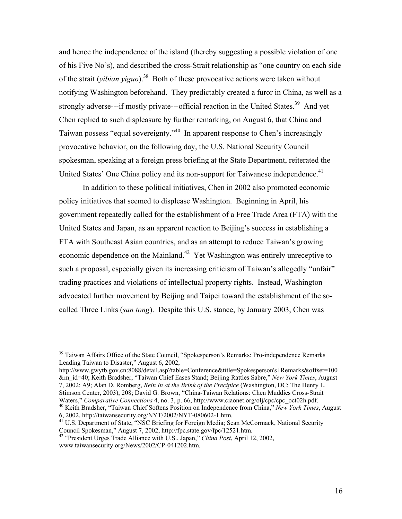and hence the independence of the island (thereby suggesting a possible violation of one of his Five No's), and described the cross-Strait relationship as "one country on each side of the strait (*yibian yiguo*).<sup>38</sup> Both of these provocative actions were taken without notifying Washington beforehand. They predictably created a furor in China, as well as a strongly adverse---if mostly private---official reaction in the United States.<sup>39</sup> And yet Chen replied to such displeasure by further remarking, on August 6, that China and Taiwan possess "equal sovereignty."40 In apparent response to Chen's increasingly provocative behavior, on the following day, the U.S. National Security Council spokesman, speaking at a foreign press briefing at the State Department, reiterated the United States' One China policy and its non-support for Taiwanese independence.<sup>41</sup>

In addition to these political initiatives, Chen in 2002 also promoted economic policy initiatives that seemed to displease Washington. Beginning in April, his government repeatedly called for the establishment of a Free Trade Area (FTA) with the United States and Japan, as an apparent reaction to Beijing's success in establishing a FTA with Southeast Asian countries, and as an attempt to reduce Taiwan's growing economic dependence on the Mainland.<sup>42</sup> Yet Washington was entirely unreceptive to such a proposal, especially given its increasing criticism of Taiwan's allegedly "unfair" trading practices and violations of intellectual property rights. Instead, Washington advocated further movement by Beijing and Taipei toward the establishment of the socalled Three Links (*san tong*). Despite this U.S. stance, by January 2003, Chen was

http://www.gwytb.gov.cn:8088/detail.asp?table=Conference&title=Spokesperson's+Remarks&offset=100 &m\_id=40; Keith Bradsher, "Taiwan Chief Eases Stand; Beijing Rattles Sabre," *New York Times*, August 7, 2002: A9; Alan D. Romberg, *Rein In at the Brink of the Precipice* (Washington, DC: The Henry L. Stimson Center, 2003), 208; David G. Brown, "China-Taiwan Relations: Chen Muddies Cross-Strait Waters," Comparative Connections 4, no. 3, p. 66, http://www.ciaonet.org/olj/cpc/cpc\_oct02h.pdf.

 $39$  Taiwan Affairs Office of the State Council, "Spokesperson's Remarks: Pro-independence Remarks" Leading Taiwan to Disaster," August 6, 2002,

<sup>&</sup>lt;sup>40</sup> Keith Bradsher, "Taiwan Chief Softens Position on Independence from China," *New York Times*, August 6, 2002, http://taiwansecurity.org/NYT/2002/NYT-080602-1.htm.

<sup>&</sup>lt;sup>41</sup> U.S. Department of State, "NSC Briefing for Foreign Media; Sean McCormack, National Security Council Spokesman," August 7, 2002, http://fpc.state.gov/fpc/12521.htm.

<sup>&</sup>lt;sup>42</sup> "President Urges Trade Alliance with U.S., Japan," *China Post*, April 12, 2002, www.taiwansecurity.org/News/2002/CP-041202.htm.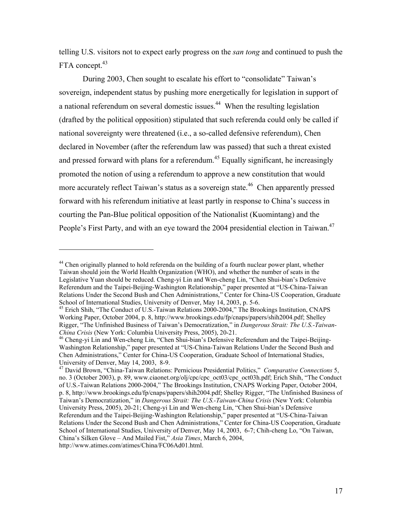telling U.S. visitors not to expect early progress on the *san tong* and continued to push the FTA concept.<sup>43</sup>

During 2003, Chen sought to escalate his effort to "consolidate" Taiwan's sovereign, independent status by pushing more energetically for legislation in support of a national referendum on several domestic issues.<sup>44</sup> When the resulting legislation (drafted by the political opposition) stipulated that such referenda could only be called if national sovereignty were threatened (i.e., a so-called defensive referendum), Chen declared in November (after the referendum law was passed) that such a threat existed and pressed forward with plans for a referendum.<sup>45</sup> Equally significant, he increasingly promoted the notion of using a referendum to approve a new constitution that would more accurately reflect Taiwan's status as a sovereign state.<sup>46</sup> Chen apparently pressed forward with his referendum initiative at least partly in response to China's success in courting the Pan-Blue political opposition of the Nationalist (Kuomintang) and the People's First Party, and with an eye toward the 2004 presidential election in Taiwan.<sup>47</sup>

<sup>&</sup>lt;sup>44</sup> Chen originally planned to hold referenda on the building of a fourth nuclear power plant, whether Taiwan should join the World Health Organization (WHO), and whether the number of seats in the Legislative Yuan should be reduced. Cheng-yi Lin and Wen-cheng Lin, "Chen Shui-bian's Defensive Referendum and the Taipei-Beijing-Washington Relationship," paper presented at "US-China-Taiwan Relations Under the Second Bush and Chen Administrations," Center for China-US Cooperation, Graduate School of International Studies, University of Denver, May 14, 2003, p. 5-6.

<sup>45</sup> Erich Shih, "The Conduct of U.S.-Taiwan Relations 2000-2004," The Brookings Institution, CNAPS Working Paper, October 2004, p. 8, http://www.brookings.edu/fp/cnaps/papers/shih2004.pdf; Shelley Rigger, "The Unfinished Business of Taiwan's Democratization," in *Dangerous Strait: The U.S.-Taiwan-China Crisis* (New York: Columbia University Press, 2005), 20-21. 46 Cheng-yi Lin and Wen-cheng Lin, "Chen Shui-bian's Defensive Referendum and the Taipei-Beijing-

Washington Relationship," paper presented at "US-China-Taiwan Relations Under the Second Bush and Chen Administrations," Center for China-US Cooperation, Graduate School of International Studies, University of Denver, May 14, 2003, 8-9.

<sup>47</sup> David Brown, "China-Taiwan Relations: Pernicious Presidential Politics," *Comparative Connections* 5, no. 3 (October 2003), p. 89, www.ciaonet.org/olj/cpc/cpc\_oct03/cpc\_oct03h.pdf; Erich Shih, "The Conduct of U.S.-Taiwan Relations 2000-2004," The Brookings Institution, CNAPS Working Paper, October 2004, p. 8, http://www.brookings.edu/fp/cnaps/papers/shih2004.pdf; Shelley Rigger, "The Unfinished Business of Taiwan's Democratization," in *Dangerous Strait: The U.S.-Taiwan-China Crisis* (New York: Columbia University Press, 2005), 20-21; Cheng-yi Lin and Wen-cheng Lin, "Chen Shui-bian's Defensive Referendum and the Taipei-Beijing-Washington Relationship," paper presented at "US-China-Taiwan Relations Under the Second Bush and Chen Administrations," Center for China-US Cooperation, Graduate School of International Studies, University of Denver, May 14, 2003, 6-7; Chih-cheng Lo, "On Taiwan, China's Silken Glove – And Mailed Fist," *Asia Times*, March 6, 2004, http://www.atimes.com/atimes/China/FC06Ad01.html.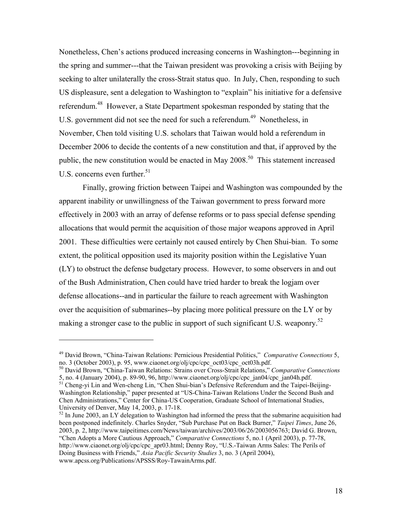Nonetheless, Chen's actions produced increasing concerns in Washington---beginning in the spring and summer---that the Taiwan president was provoking a crisis with Beijing by seeking to alter unilaterally the cross-Strait status quo. In July, Chen, responding to such US displeasure, sent a delegation to Washington to "explain" his initiative for a defensive referendum.48 However, a State Department spokesman responded by stating that the U.S. government did not see the need for such a referendum.<sup>49</sup> Nonetheless, in November, Chen told visiting U.S. scholars that Taiwan would hold a referendum in December 2006 to decide the contents of a new constitution and that, if approved by the public, the new constitution would be enacted in May 2008.<sup>50</sup> This statement increased U.S. concerns even further.<sup>51</sup>

Finally, growing friction between Taipei and Washington was compounded by the apparent inability or unwillingness of the Taiwan government to press forward more effectively in 2003 with an array of defense reforms or to pass special defense spending allocations that would permit the acquisition of those major weapons approved in April 2001. These difficulties were certainly not caused entirely by Chen Shui-bian. To some extent, the political opposition used its majority position within the Legislative Yuan (LY) to obstruct the defense budgetary process. However, to some observers in and out of the Bush Administration, Chen could have tried harder to break the logjam over defense allocations--and in particular the failure to reach agreement with Washington over the acquisition of submarines--by placing more political pressure on the LY or by making a stronger case to the public in support of such significant U.S. weaponry.<sup>52</sup>

<sup>49</sup> David Brown, "China-Taiwan Relations: Pernicious Presidential Politics," *Comparative Connections* 5, no. 3 (October 2003), p. 95, www.ciaonet.org/olj/cpc/cpc\_oct03/cpc\_oct03h.pdf.

<sup>50</sup> David Brown, "China-Taiwan Relations: Strains over Cross-Strait Relations," *Comparative Connections*

<sup>5,</sup> no. 4 (January 2004), p. 89-90, 96, http://www.ciaonet.org/olj/cpc/cpc\_jan04/cpc\_jan04h.pdf. 51 Cheng-yi Lin and Wen-cheng Lin, "Chen Shui-bian's Defensive Referendum and the Taipei-Beijing-Washington Relationship," paper presented at "US-China-Taiwan Relations Under the Second Bush and Chen Administrations," Center for China-US Cooperation, Graduate School of International Studies, University of Denver, May 14, 2003, p. 17-18.

<sup>&</sup>lt;sup>52</sup> In June 2003, an LY delegation to Washington had informed the press that the submarine acquisition had been postponed indefinitely. Charles Snyder, "Sub Purchase Put on Back Burner," *Taipei Times*, June 26, 2003, p. 2, http://www.taipeitimes.com/News/taiwan/archives/2003/06/26/2003056763; David G. Brown, "Chen Adopts a More Cautious Approach," *Comparative Connections* 5, no.1 (April 2003), p. 77-78, http://www.ciaonet.org/olj/cpc/cpc\_apr03.html; Denny Roy, "U.S.-Taiwan Arms Sales: The Perils of Doing Business with Friends," *Asia Pacific Security Studies* 3, no. 3 (April 2004), www.apcss.org/Publications/APSSS/Roy-TawainArms.pdf.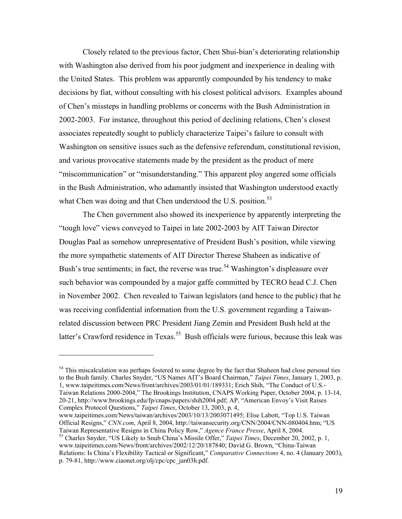Closely related to the previous factor, Chen Shui-bian's deteriorating relationship with Washington also derived from his poor judgment and inexperience in dealing with the United States. This problem was apparently compounded by his tendency to make decisions by fiat, without consulting with his closest political advisors. Examples abound of Chen's missteps in handling problems or concerns with the Bush Administration in 2002-2003. For instance, throughout this period of declining relations, Chen's closest associates repeatedly sought to publicly characterize Taipei's failure to consult with Washington on sensitive issues such as the defensive referendum, constitutional revision, and various provocative statements made by the president as the product of mere "miscommunication" or "misunderstanding." This apparent ploy angered some officials in the Bush Administration, who adamantly insisted that Washington understood exactly what Chen was doing and that Chen understood the U.S. position.<sup>53</sup>

The Chen government also showed its inexperience by apparently interpreting the "tough love" views conveyed to Taipei in late 2002-2003 by AIT Taiwan Director Douglas Paal as somehow unrepresentative of President Bush's position, while viewing the more sympathetic statements of AIT Director Therese Shaheen as indicative of Bush's true sentiments; in fact, the reverse was true.<sup>54</sup> Washington's displeasure over such behavior was compounded by a major gaffe committed by TECRO head C.J. Chen in November 2002. Chen revealed to Taiwan legislators (and hence to the public) that he was receiving confidential information from the U.S. government regarding a Taiwanrelated discussion between PRC President Jiang Zemin and President Bush held at the latter's Crawford residence in Texas.<sup>55</sup> Bush officials were furious, because this leak was

<sup>54</sup> This miscalculation was perhaps fostered to some degree by the fact that Shaheen had close personal ties to the Bush family. Charles Snyder, "US Names AIT's Board Chairman," *Taipei Times*, January 1, 2003, p. 1, www.taipeitimes.com/News/front/archives/2003/01/01/189331; Erich Shih, "The Conduct of U.S.- Taiwan Relations 2000-2004," The Brookings Institution, CNAPS Working Paper, October 2004, p. 13-14, 20-21, http://www.brookings.edu/fp/cnaps/papers/shih2004.pdf; AP, "American Envoy's Visit Raises Complex Protocol Questions," *Taipei Times*, October 13, 2003, p. 4,

 $\overline{a}$ 

www.taipeitimes.com/News/taiwan/archives/2003/10/13/2003071495; Elise Labott, "Top U.S. Taiwan Official Resigns," *CNN.com*, April 8, 2004, http://taiwansecurity.org/CNN/2004/CNN-080404.htm; "US<br>Taiwan Representative Resigns in China Policy Row," *Agence France Presse*, April 8, 2004.

<sup>55</sup> Charles Snyder, "US Likely to Snub China's Missile Offer," *Taipei Times*, December 20, 2002, p. 1, www.taipeitimes.com/News/front/archives/2002/12/20/187840; David G. Brown, "China-Taiwan Relations: Is China's Flexibility Tactical or Significant," *Comparative Connections* 4, no. 4 (January 2003), p. 79-81, http://www.ciaonet.org/olj/cpc/cpc\_jan03h.pdf.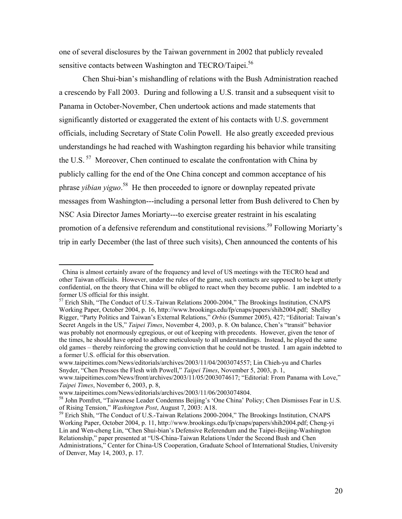one of several disclosures by the Taiwan government in 2002 that publicly revealed sensitive contacts between Washington and TECRO/Taipei.<sup>56</sup>

Chen Shui-bian's mishandling of relations with the Bush Administration reached a crescendo by Fall 2003. During and following a U.S. transit and a subsequent visit to Panama in October-November, Chen undertook actions and made statements that significantly distorted or exaggerated the extent of his contacts with U.S. government officials, including Secretary of State Colin Powell. He also greatly exceeded previous understandings he had reached with Washington regarding his behavior while transiting the U.S.<sup>57</sup> Moreover, Chen continued to escalate the confrontation with China by publicly calling for the end of the One China concept and common acceptance of his phrase *yibian yiguo*.<sup>58</sup> He then proceeded to ignore or downplay repeated private messages from Washington---including a personal letter from Bush delivered to Chen by NSC Asia Director James Moriarty---to exercise greater restraint in his escalating promotion of a defensive referendum and constitutional revisions.<sup>59</sup> Following Moriarty's trip in early December (the last of three such visits), Chen announced the contents of his

China is almost certainly aware of the frequency and level of US meetings with the TECRO head and other Taiwan officials. However, under the rules of the game, such contacts are supposed to be kept utterly confidential, on the theory that China will be obliged to react when they become public. I am indebted to a former US official for this insight.

<sup>&</sup>lt;sup>57</sup> Erich Shih, "The Conduct of U.S.-Taiwan Relations 2000-2004," The Brookings Institution, CNAPS Working Paper, October 2004, p. 16, http://www.brookings.edu/fp/cnaps/papers/shih2004.pdf; Shelley Rigger, "Party Politics and Taiwan's External Relations," *Orbis* (Summer 2005), 427; "Editorial: Taiwan's Secret Angels in the US," *Taipei Times*, November 4, 2003, p. 8. On balance, Chen's "transit" behavior was probably not enormously egregious, or out of keeping with precedents. However, given the tenor of the times, he should have opted to adhere meticulously to all understandings. Instead, he played the same old games – thereby reinforcing the growing conviction that he could not be trusted. I am again indebted to a former U.S. official for this observation.

www.taipeitimes.com/News/editorials/archives/2003/11/04/2003074557; Lin Chieh-yu and Charles Snyder, "Chen Presses the Flesh with Powell," *Taipei Times*, November 5, 2003, p. 1,

www.taipeitimes.com/News/front/archives/2003/11/05/2003074617; "Editorial: From Panama with Love," *Taipei Times*, November 6, 2003, p. 8,

www.taipeitimes.com/News/editorials/archives/2003/11/06/2003074804.<br><sup>58</sup> John Pomfret, "Taiwanese Leader Condemns Beijing's 'One China' Policy; Chen Dismisses Fear in U.S.<br>of Rising Tension," *Washington Post*, August 7, 2

<sup>&</sup>lt;sup>59</sup> Erich Shih, "The Conduct of U.S.-Taiwan Relations 2000-2004," The Brookings Institution, CNAPS Working Paper, October 2004, p. 11, http://www.brookings.edu/fp/cnaps/papers/shih2004.pdf; Cheng-yi Lin and Wen-cheng Lin, "Chen Shui-bian's Defensive Referendum and the Taipei-Beijing-Washington Relationship," paper presented at "US-China-Taiwan Relations Under the Second Bush and Chen Administrations," Center for China-US Cooperation, Graduate School of International Studies, University of Denver, May 14, 2003, p. 17.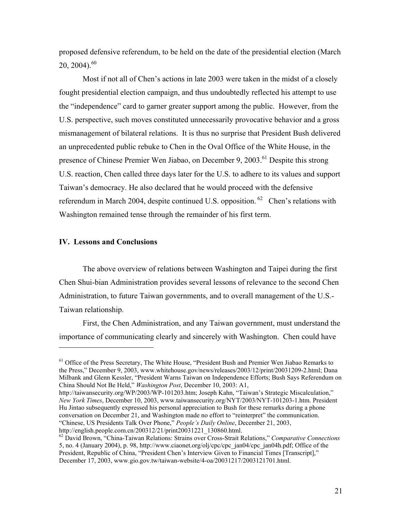proposed defensive referendum, to be held on the date of the presidential election (March  $20, 2004$ <sup>60</sup>

Most if not all of Chen's actions in late 2003 were taken in the midst of a closely fought presidential election campaign, and thus undoubtedly reflected his attempt to use the "independence" card to garner greater support among the public. However, from the U.S. perspective, such moves constituted unnecessarily provocative behavior and a gross mismanagement of bilateral relations. It is thus no surprise that President Bush delivered an unprecedented public rebuke to Chen in the Oval Office of the White House, in the presence of Chinese Premier Wen Jiabao, on December 9, 2003.<sup>61</sup> Despite this strong U.S. reaction, Chen called three days later for the U.S. to adhere to its values and support Taiwan's democracy. He also declared that he would proceed with the defensive referendum in March 2004, despite continued U.S. opposition.  $62$  Chen's relations with Washington remained tense through the remainder of his first term.

## **IV. Lessons and Conclusions**

 $\overline{a}$ 

The above overview of relations between Washington and Taipei during the first Chen Shui-bian Administration provides several lessons of relevance to the second Chen Administration, to future Taiwan governments, and to overall management of the U.S.- Taiwan relationship.

First, the Chen Administration, and any Taiwan government, must understand the importance of communicating clearly and sincerely with Washington. Chen could have

 $<sup>61</sup>$  Office of the Press Secretary, The White House, "President Bush and Premier Wen Jiabao Remarks to</sup> the Press," December 9, 2003, www.whitehouse.gov/news/releases/2003/12/print/20031209-2.html; Dana Milbank and Glenn Kessler, "President Warns Taiwan on Independence Efforts; Bush Says Referendum on China Should Not Be Held," *Washington Post*, December 10, 2003: A1,

http://taiwansecurity.org/WP/2003/WP-101203.htm; Joseph Kahn, "Taiwan's Strategic Miscalculation," *New York Times*, December 10, 2003, www.taiwansecurity.org/NYT/2003/NYT-101203-1.htm. President Hu Jintao subsequently expressed his personal appreciation to Bush for these remarks during a phone conversation on December 21, and Washington made no effort to "reinterpret" the communication. "Chinese, US Presidents Talk Over Phone," *People's Daily Online*, December 21, 2003, http://english.people.com.cn/200312/21/print20031221\_130860.html.

<sup>62</sup> David Brown, "China-Taiwan Relations: Strains over Cross-Strait Relations," *Comparative Connections* 5, no. 4 (January 2004), p. 98, http://www.ciaonet.org/olj/cpc/cpc\_jan04/cpc\_jan04h.pdf; Office of the President, Republic of China, "President Chen's Interview Given to Financial Times [Transcript]," December 17, 2003, www.gio.gov.tw/taiwan-website/4-oa/20031217/2003121701.html.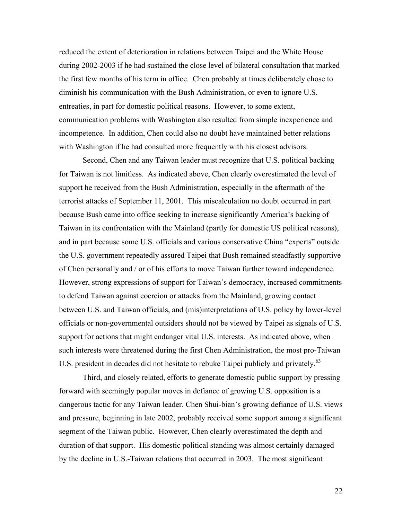reduced the extent of deterioration in relations between Taipei and the White House during 2002-2003 if he had sustained the close level of bilateral consultation that marked the first few months of his term in office. Chen probably at times deliberately chose to diminish his communication with the Bush Administration, or even to ignore U.S. entreaties, in part for domestic political reasons. However, to some extent, communication problems with Washington also resulted from simple inexperience and incompetence. In addition, Chen could also no doubt have maintained better relations with Washington if he had consulted more frequently with his closest advisors.

Second, Chen and any Taiwan leader must recognize that U.S. political backing for Taiwan is not limitless. As indicated above, Chen clearly overestimated the level of support he received from the Bush Administration, especially in the aftermath of the terrorist attacks of September 11, 2001. This miscalculation no doubt occurred in part because Bush came into office seeking to increase significantly America's backing of Taiwan in its confrontation with the Mainland (partly for domestic US political reasons), and in part because some U.S. officials and various conservative China "experts" outside the U.S. government repeatedly assured Taipei that Bush remained steadfastly supportive of Chen personally and / or of his efforts to move Taiwan further toward independence. However, strong expressions of support for Taiwan's democracy, increased commitments to defend Taiwan against coercion or attacks from the Mainland, growing contact between U.S. and Taiwan officials, and (mis)interpretations of U.S. policy by lower-level officials or non-governmental outsiders should not be viewed by Taipei as signals of U.S. support for actions that might endanger vital U.S. interests. As indicated above, when such interests were threatened during the first Chen Administration, the most pro-Taiwan U.S. president in decades did not hesitate to rebuke Taipei publicly and privately.<sup>63</sup>

Third, and closely related, efforts to generate domestic public support by pressing forward with seemingly popular moves in defiance of growing U.S. opposition is a dangerous tactic for any Taiwan leader. Chen Shui-bian's growing defiance of U.S. views and pressure, beginning in late 2002, probably received some support among a significant segment of the Taiwan public. However, Chen clearly overestimated the depth and duration of that support. His domestic political standing was almost certainly damaged by the decline in U.S.-Taiwan relations that occurred in 2003. The most significant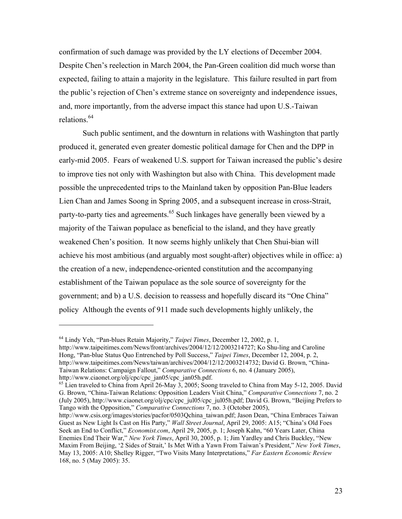confirmation of such damage was provided by the LY elections of December 2004. Despite Chen's reelection in March 2004, the Pan-Green coalition did much worse than expected, failing to attain a majority in the legislature. This failure resulted in part from the public's rejection of Chen's extreme stance on sovereignty and independence issues, and, more importantly, from the adverse impact this stance had upon U.S.-Taiwan relations.<sup>64</sup>

Such public sentiment, and the downturn in relations with Washington that partly produced it, generated even greater domestic political damage for Chen and the DPP in early-mid 2005. Fears of weakened U.S. support for Taiwan increased the public's desire to improve ties not only with Washington but also with China. This development made possible the unprecedented trips to the Mainland taken by opposition Pan-Blue leaders Lien Chan and James Soong in Spring 2005, and a subsequent increase in cross-Strait, party-to-party ties and agreements.<sup>65</sup> Such linkages have generally been viewed by a majority of the Taiwan populace as beneficial to the island, and they have greatly weakened Chen's position. It now seems highly unlikely that Chen Shui-bian will achieve his most ambitious (and arguably most sought-after) objectives while in office: a) the creation of a new, independence-oriented constitution and the accompanying establishment of the Taiwan populace as the sole source of sovereignty for the government; and b) a U.S. decision to reassess and hopefully discard its "One China" policy Although the events of 911 made such developments highly unlikely, the

<sup>64</sup> Lindy Yeh, "Pan-blues Retain Majority," *Taipei Times*, December 12, 2002, p. 1, http://www.taipeitimes.com/News/front/archives/2004/12/12/2003214727; Ko Shu-ling and Caroline Hong, "Pan-blue Status Quo Entrenched by Poll Success," *Taipei Times*, December 12, 2004, p. 2, http://www.taipeitimes.com/News/taiwan/archives/2004/12/12/2003214732; David G. Brown, "China-Taiwan Relations: Campaign Fallout," *Comparative Connections* 6, no. 4 (January 2005), http://www.ciaonet.org/olj/cpc/cpc\_jan05/cpc\_jan05h.pdf.

 $65$  Lien traveled to China from April 26-May  $3$ , 2005; Soong traveled to China from May 5-12, 2005. David G. Brown, "China-Taiwan Relations: Opposition Leaders Visit China," *Comparative Connections* 7, no. 2 (July 2005), http://www.ciaonet.org/olj/cpc/cpc\_jul05/cpc\_jul05h.pdf; David G. Brown, "Beijing Prefers to Tango with the Opposition," *Comparative Connections* 7, no. 3 (October 2005),

http://www.csis.org/images/stories/pacfor/0503Qchina\_taiwan.pdf; Jason Dean, "China Embraces Taiwan Guest as New Light Is Cast on His Party," *Wall Street Journal*, April 29, 2005: A15; "China's Old Foes Seek an End to Conflict," *Economist.com*, April 29, 2005, p. 1; Joseph Kahn, "60 Years Later, China Enemies End Their War," *New York Times*, April 30, 2005, p. 1; Jim Yardley and Chris Buckley, "New Maxim From Beijing, '2 Sides of Strait,' Is Met With a Yawn From Taiwan's President," *New York Times*, May 13, 2005: A10; Shelley Rigger, "Two Visits Many Interpretations," *Far Eastern Economic Review* 168, no. 5 (May 2005): 35.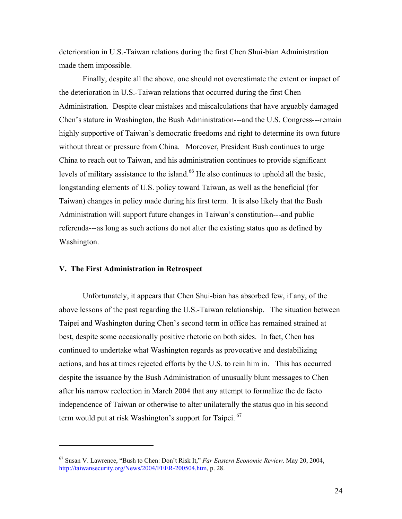deterioration in U.S.-Taiwan relations during the first Chen Shui-bian Administration made them impossible.

Finally, despite all the above, one should not overestimate the extent or impact of the deterioration in U.S.-Taiwan relations that occurred during the first Chen Administration. Despite clear mistakes and miscalculations that have arguably damaged Chen's stature in Washington, the Bush Administration---and the U.S. Congress---remain highly supportive of Taiwan's democratic freedoms and right to determine its own future without threat or pressure from China. Moreover, President Bush continues to urge China to reach out to Taiwan, and his administration continues to provide significant levels of military assistance to the island.<sup>66</sup> He also continues to uphold all the basic, longstanding elements of U.S. policy toward Taiwan, as well as the beneficial (for Taiwan) changes in policy made during his first term. It is also likely that the Bush Administration will support future changes in Taiwan's constitution---and public referenda---as long as such actions do not alter the existing status quo as defined by Washington.

#### **V. The First Administration in Retrospect**

 $\overline{a}$ 

Unfortunately, it appears that Chen Shui-bian has absorbed few, if any, of the above lessons of the past regarding the U.S.-Taiwan relationship. The situation between Taipei and Washington during Chen's second term in office has remained strained at best, despite some occasionally positive rhetoric on both sides. In fact, Chen has continued to undertake what Washington regards as provocative and destabilizing actions, and has at times rejected efforts by the U.S. to rein him in. This has occurred despite the issuance by the Bush Administration of unusually blunt messages to Chen after his narrow reelection in March 2004 that any attempt to formalize the de facto independence of Taiwan or otherwise to alter unilaterally the status quo in his second term would put at risk Washington's support for Taipei.<sup>67</sup>

<sup>67</sup> Susan V. Lawrence, "Bush to Chen: Don't Risk It," *Far Eastern Economic Review,* May 20, 2004, http://taiwansecurity.org/News/2004/FEER-200504.htm, p. 28.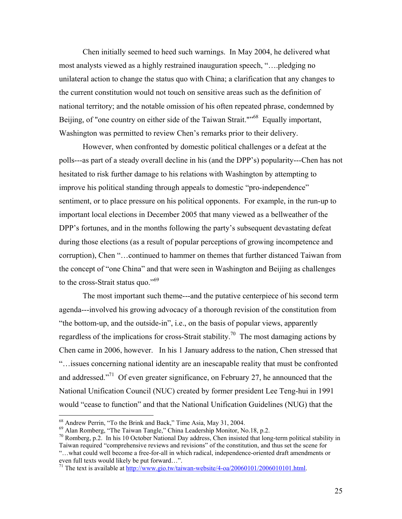Chen initially seemed to heed such warnings. In May 2004, he delivered what most analysts viewed as a highly restrained inauguration speech, "….pledging no unilateral action to change the status quo with China; a clarification that any changes to the current constitution would not touch on sensitive areas such as the definition of national territory; and the notable omission of his often repeated phrase, condemned by Beijing, of "one country on either side of the Taiwan Strait."<sup>568</sup> Equally important, Washington was permitted to review Chen's remarks prior to their delivery.

However, when confronted by domestic political challenges or a defeat at the polls---as part of a steady overall decline in his (and the DPP's) popularity---Chen has not hesitated to risk further damage to his relations with Washington by attempting to improve his political standing through appeals to domestic "pro-independence" sentiment, or to place pressure on his political opponents. For example, in the run-up to important local elections in December 2005 that many viewed as a bellweather of the DPP's fortunes, and in the months following the party's subsequent devastating defeat during those elections (as a result of popular perceptions of growing incompetence and corruption), Chen "…continued to hammer on themes that further distanced Taiwan from the concept of "one China" and that were seen in Washington and Beijing as challenges to the cross-Strait status quo."<sup>69</sup>

The most important such theme---and the putative centerpiece of his second term agenda---involved his growing advocacy of a thorough revision of the constitution from "the bottom-up, and the outside-in", i.e., on the basis of popular views, apparently regardless of the implications for cross-Strait stability.<sup>70</sup> The most damaging actions by Chen came in 2006, however. In his 1 January address to the nation, Chen stressed that "…issues concerning national identity are an inescapable reality that must be confronted and addressed."71 Of even greater significance, on February 27, he announced that the National Unification Council (NUC) created by former president Lee Teng-hui in 1991 would "cease to function" and that the National Unification Guidelines (NUG) that the

<sup>&</sup>lt;sup>68</sup> Andrew Perrin, "To the Brink and Back," Time Asia, May 31, 2004.

<sup>69</sup> Alan Romberg, "The Taiwan Tangle," China Leadership Monitor, No.18, p.2.

<sup>70</sup> Romberg, p.2. In his 10 October National Day address, Chen insisted that long-term political stability in Taiwan required "comprehensive reviews and revisions" of the constitution, and thus set the scene for "…what could well become a free-for-all in which radical, independence-oriented draft amendments or even full texts would likely be put forward…".

<sup>&</sup>lt;sup>71</sup> The text is available at  $\frac{http://www.gio.tw/taiwan-website/4-oa/20060101/2006010101.html}{http://www.gio.tw/taiwan-website/4-oa/20060101/2006010101.html}$ .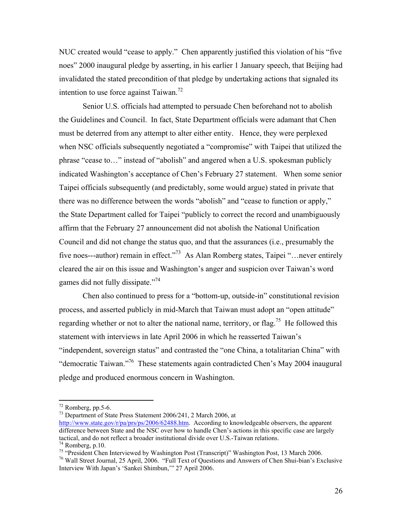NUC created would "cease to apply." Chen apparently justified this violation of his "five noes" 2000 inaugural pledge by asserting, in his earlier 1 January speech, that Beijing had invalidated the stated precondition of that pledge by undertaking actions that signaled its intention to use force against Taiwan.<sup>72</sup>

Senior U.S. officials had attempted to persuade Chen beforehand not to abolish the Guidelines and Council. In fact, State Department officials were adamant that Chen must be deterred from any attempt to alter either entity. Hence, they were perplexed when NSC officials subsequently negotiated a "compromise" with Taipei that utilized the phrase "cease to…" instead of "abolish" and angered when a U.S. spokesman publicly indicated Washington's acceptance of Chen's February 27 statement. When some senior Taipei officials subsequently (and predictably, some would argue) stated in private that there was no difference between the words "abolish" and "cease to function or apply," the State Department called for Taipei "publicly to correct the record and unambiguously affirm that the February 27 announcement did not abolish the National Unification Council and did not change the status quo, and that the assurances (i.e., presumably the five noes---author) remain in effect."<sup>73</sup> As Alan Romberg states, Taipei "... never entirely cleared the air on this issue and Washington's anger and suspicion over Taiwan's word games did not fully dissipate."<sup>74</sup>

Chen also continued to press for a "bottom-up, outside-in" constitutional revision process, and asserted publicly in mid-March that Taiwan must adopt an "open attitude" regarding whether or not to alter the national name, territory, or flag.<sup>75</sup> He followed this statement with interviews in late April 2006 in which he reasserted Taiwan's "independent, sovereign status" and contrasted the "one China, a totalitarian China" with "democratic Taiwan."76 These statements again contradicted Chen's May 2004 inaugural pledge and produced enormous concern in Washington.

1

73 Department of State Press Statement 2006/241, 2 March 2006, at

 $72$  Romberg, pp. 5-6.

http://www.state.gov/r/pa/prs/ps/2006/62488.htm. According to knowledgeable observers, the apparent difference between State and the NSC over how to handle Chen's actions in this specific case are largely tactical, and do not reflect a broader institutional divide over U.S.-Taiwan relations. 74 Romberg, p.10.

<sup>&</sup>lt;sup>75</sup> "President Chen Interviewed by Washington Post (Transcript)" Washington Post, 13 March 2006. <sup>76</sup> Wall Street Journal, 25 April, 2006. "Full Text of Questions and Answers of Chen Shui-bian's Exclusive Interview With Japan's 'Sankei Shimbun,'" 27 April 2006.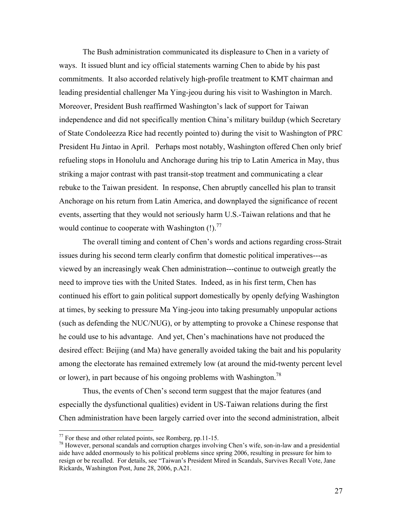The Bush administration communicated its displeasure to Chen in a variety of ways. It issued blunt and icy official statements warning Chen to abide by his past commitments. It also accorded relatively high-profile treatment to KMT chairman and leading presidential challenger Ma Ying-jeou during his visit to Washington in March. Moreover, President Bush reaffirmed Washington's lack of support for Taiwan independence and did not specifically mention China's military buildup (which Secretary of State Condoleezza Rice had recently pointed to) during the visit to Washington of PRC President Hu Jintao in April. Perhaps most notably, Washington offered Chen only brief refueling stops in Honolulu and Anchorage during his trip to Latin America in May, thus striking a major contrast with past transit-stop treatment and communicating a clear rebuke to the Taiwan president. In response, Chen abruptly cancelled his plan to transit Anchorage on his return from Latin America, and downplayed the significance of recent events, asserting that they would not seriously harm U.S.-Taiwan relations and that he would continue to cooperate with Washington  $(!)$ .<sup>77</sup>

The overall timing and content of Chen's words and actions regarding cross-Strait issues during his second term clearly confirm that domestic political imperatives---as viewed by an increasingly weak Chen administration---continue to outweigh greatly the need to improve ties with the United States. Indeed, as in his first term, Chen has continued his effort to gain political support domestically by openly defying Washington at times, by seeking to pressure Ma Ying-jeou into taking presumably unpopular actions (such as defending the NUC/NUG), or by attempting to provoke a Chinese response that he could use to his advantage. And yet, Chen's machinations have not produced the desired effect: Beijing (and Ma) have generally avoided taking the bait and his popularity among the electorate has remained extremely low (at around the mid-twenty percent level or lower), in part because of his ongoing problems with Washington.<sup>78</sup>

Thus, the events of Chen's second term suggest that the major features (and especially the dysfunctional qualities) evident in US-Taiwan relations during the first Chen administration have been largely carried over into the second administration, albeit

 $77$  For these and other related points, see Romberg, pp.11-15.

 $^{78}$  However, personal scandals and corruption charges involving Chen's wife, son-in-law and a presidential aide have added enormously to his political problems since spring 2006, resulting in pressure for him to resign or be recalled. For details, see "Taiwan's President Mired in Scandals, Survives Recall Vote, Jane Rickards, Washington Post, June 28, 2006, p.A21.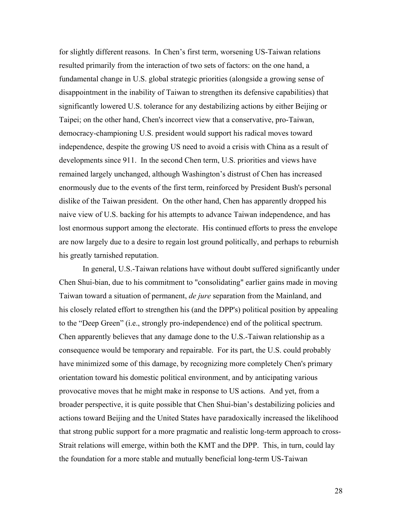for slightly different reasons. In Chen's first term, worsening US-Taiwan relations resulted primarily from the interaction of two sets of factors: on the one hand, a fundamental change in U.S. global strategic priorities (alongside a growing sense of disappointment in the inability of Taiwan to strengthen its defensive capabilities) that significantly lowered U.S. tolerance for any destabilizing actions by either Beijing or Taipei; on the other hand, Chen's incorrect view that a conservative, pro-Taiwan, democracy-championing U.S. president would support his radical moves toward independence, despite the growing US need to avoid a crisis with China as a result of developments since 911. In the second Chen term, U.S. priorities and views have remained largely unchanged, although Washington's distrust of Chen has increased enormously due to the events of the first term, reinforced by President Bush's personal dislike of the Taiwan president. On the other hand, Chen has apparently dropped his naive view of U.S. backing for his attempts to advance Taiwan independence, and has lost enormous support among the electorate. His continued efforts to press the envelope are now largely due to a desire to regain lost ground politically, and perhaps to reburnish his greatly tarnished reputation.

In general, U.S.-Taiwan relations have without doubt suffered significantly under Chen Shui-bian, due to his commitment to "consolidating" earlier gains made in moving Taiwan toward a situation of permanent, *de jure* separation from the Mainland, and his closely related effort to strengthen his (and the DPP's) political position by appealing to the "Deep Green" (i.e., strongly pro-independence) end of the political spectrum. Chen apparently believes that any damage done to the U.S.-Taiwan relationship as a consequence would be temporary and repairable. For its part, the U.S. could probably have minimized some of this damage, by recognizing more completely Chen's primary orientation toward his domestic political environment, and by anticipating various provocative moves that he might make in response to US actions. And yet, from a broader perspective, it is quite possible that Chen Shui-bian's destabilizing policies and actions toward Beijing and the United States have paradoxically increased the likelihood that strong public support for a more pragmatic and realistic long-term approach to cross-Strait relations will emerge, within both the KMT and the DPP. This, in turn, could lay the foundation for a more stable and mutually beneficial long-term US-Taiwan